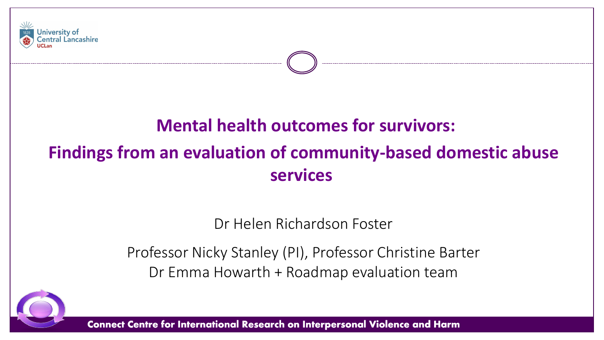

# **Mental health outcomes for survivors: Findings from an evaluation of community-based domestic abuse**

**services**

Dr Helen Richardson Foster

Professor Nicky Stanley (PI), Professor Christine Barter Dr Emma Howarth + Roadmap evaluation team

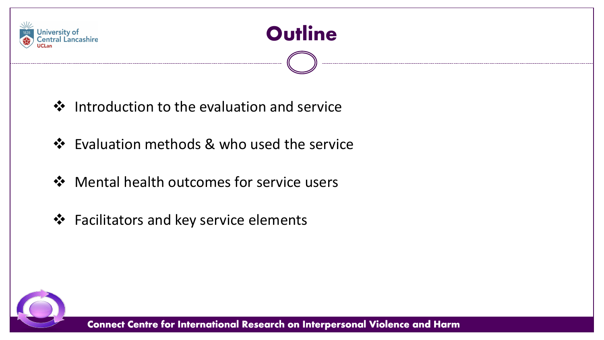



- ❖ Introduction to the evaluation and service
- ❖ Evaluation methods & who used the service
- ❖ Mental health outcomes for service users
- ❖ Facilitators and key service elements

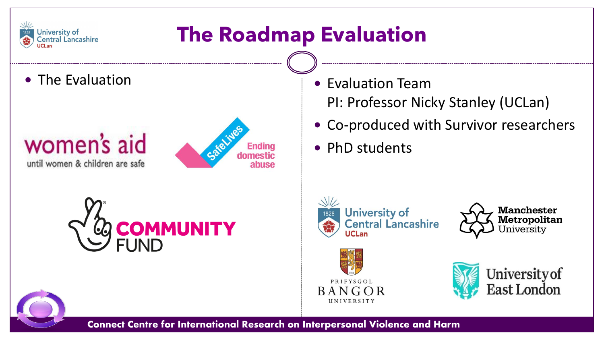

# **The Roadmap Evaluation**

### women's aid until women & children are safe





- The Evaluation **Canadian Contract Contract Contract Contract Contract Contract Contract Contract Contract Contract Contract Contract Contract Contract Contract Contract Contract Contract Contract Contract Contract Contra** PI: Professor Nicky Stanley (UCLan)
	- Co-produced with Survivor researchers
	- PhD students









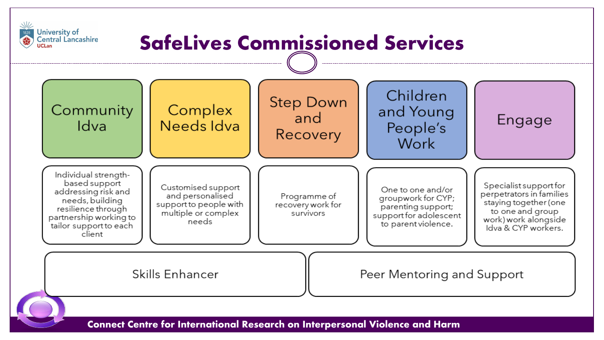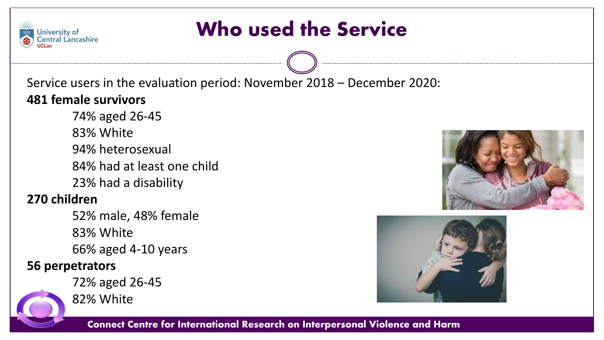# Who used the Service

Service users in the evaluation period: November 2018 – December 2020: **481 female survivors**

74% aged 26-45 83% White 94% heterosexual 84% had at least one child 23% had a disability

### **270 children**

**University of Central Lancashire** 

> 52% male, 48% female 83% White 66% aged 4-10 years

### **56 perpetrators**





82% White



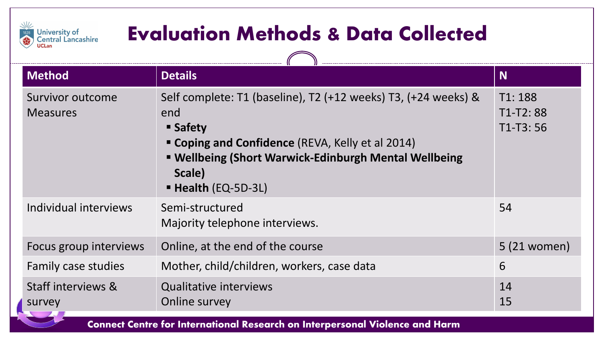# Evaluation Methods & Data Collected

 $\sqrt{2}$ 

 $\frac{1}{2}$ 

University of<br>Central Lancashire<br>UCLan

| <b>Method</b>                                                                                                                                                                                                                                                        | <b>Details</b>                                                                                                                                                                                                                            | <b>N</b>                           |
|----------------------------------------------------------------------------------------------------------------------------------------------------------------------------------------------------------------------------------------------------------------------|-------------------------------------------------------------------------------------------------------------------------------------------------------------------------------------------------------------------------------------------|------------------------------------|
| Survivor outcome<br><b>Measures</b>                                                                                                                                                                                                                                  | Self complete: T1 (baseline), T2 (+12 weeks) T3, (+24 weeks) &<br>end<br><b>Safety</b><br>" Coping and Confidence (REVA, Kelly et al 2014)<br>■ Wellbeing (Short Warwick-Edinburgh Mental Wellbeing<br>Scale)<br><b>Health (EQ-5D-3L)</b> | T1:188<br>$T1-T2:88$<br>$T1-T3:56$ |
| Individual interviews                                                                                                                                                                                                                                                | Semi-structured<br>Majority telephone interviews.                                                                                                                                                                                         | 54                                 |
| Focus group interviews                                                                                                                                                                                                                                               | Online, at the end of the course                                                                                                                                                                                                          | 5 (21 women)                       |
| Family case studies                                                                                                                                                                                                                                                  | Mother, child/children, workers, case data                                                                                                                                                                                                | 6                                  |
| Staff interviews &<br>survey<br><b>Contract Contract Contract Contract Contract Contract Contract Contract Contract Contract Contract Contract Contract Contract Contract Contract Contract Contract Contract Contract Contract Contract Contract Contract Contr</b> | <b>Qualitative interviews</b><br>Online survey                                                                                                                                                                                            | 14<br>15                           |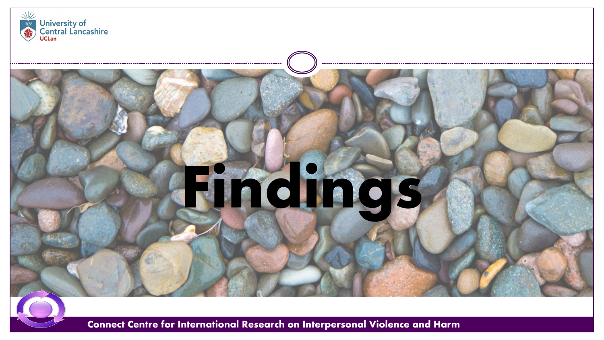

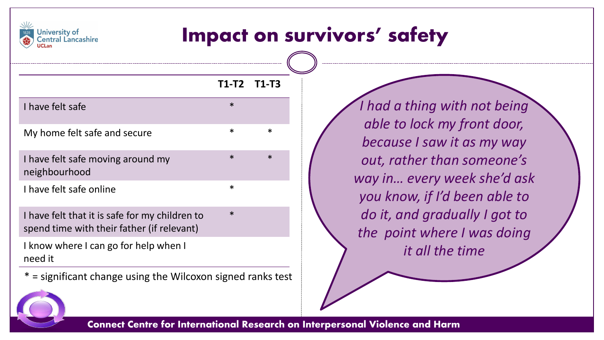

### Impact on survivors' safety

|                                                                                              | T1-T2 T1-T3 |   |
|----------------------------------------------------------------------------------------------|-------------|---|
| I have felt safe                                                                             | $\ast$      |   |
| My home felt safe and secure                                                                 | $\ast$      | ж |
| I have felt safe moving around my<br>neighbourhood                                           | $\ast$      | ж |
| I have felt safe online                                                                      | $\ast$      |   |
| I have felt that it is safe for my children to<br>spend time with their father (if relevant) | $\ast$      |   |
| I know where I can go for help when I                                                        |             |   |

need it

\* = significant change using the Wilcoxon signed ranks test

*I had a thing with not being able to lock my front door, because I saw it as my way out, rather than someone's way in… every week she'd ask you know, if I'd been able to do it, and gradually I got to the point where I was doing it all the time* 

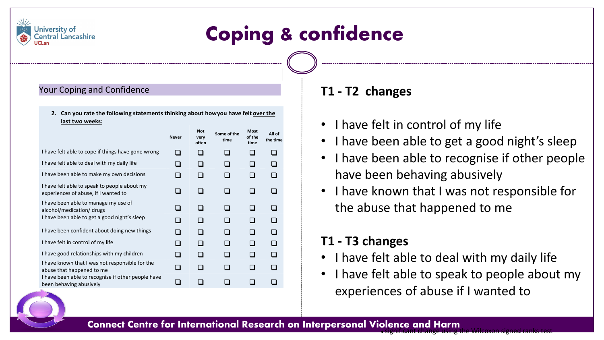

### Your Coping and Confidence

University of **Central Lancashire** 

> **2. Can you rate the following statements thinking about how you have felt over the last two weeks:**

|                                                                                      | <b>Never</b> | Not<br>very<br>often | Some of the<br>time | Most<br>of the<br>time | All of<br>the time |
|--------------------------------------------------------------------------------------|--------------|----------------------|---------------------|------------------------|--------------------|
| I have felt able to cope if things have gone wrong                                   |              |                      |                     |                        | a s                |
| I have felt able to deal with my daily life                                          |              |                      |                     |                        |                    |
| I have been able to make my own decisions                                            |              |                      |                     |                        |                    |
| I have felt able to speak to people about my<br>experiences of abuse, if I wanted to |              |                      |                     |                        | - 1                |
| I have been able to manage my use of<br>alcohol/medication/ drugs                    |              |                      |                     |                        |                    |
| I have been able to get a good night's sleep                                         |              |                      |                     |                        |                    |
| I have been confident about doing new things                                         |              |                      |                     |                        | H                  |
| I have felt in control of my life                                                    |              |                      |                     |                        |                    |
| I have good relationships with my children                                           |              |                      |                     |                        |                    |
| I have known that I was not responsible for the<br>abuse that happened to me         | n l          |                      |                     |                        |                    |
| I have been able to recognise if other people have<br>been behaving abusively        |              |                      |                     |                        |                    |

### **T1 - T2 changes**

- I have felt in control of my life
- I have been able to get a good night's sleep
- I have been able to recognise if other people have been behaving abusively
- I have known that I was not responsible for the abuse that happened to me

### **T1 - T3 changes**

- I have felt able to deal with my daily life
- I have felt able to speak to people about my experiences of abuse if I wanted to

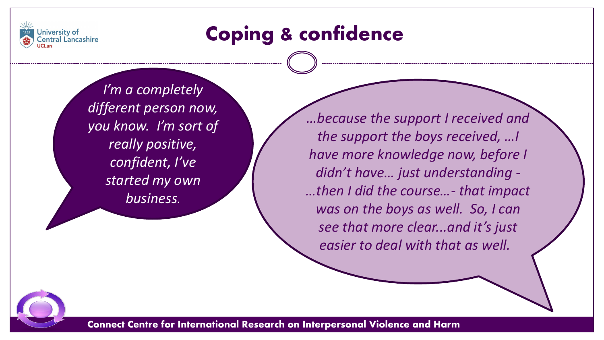

# Coping & confidence

*I'm a completely different person now, you know. I'm sort of really positive, confident, I've started my own business.* 

*…because the support I received and the support the boys received, …I have more knowledge now, before I didn't have… just understanding - …then I did the course…- that impact was on the boys as well. So, I can see that more clear...and it's just easier to deal with that as well.*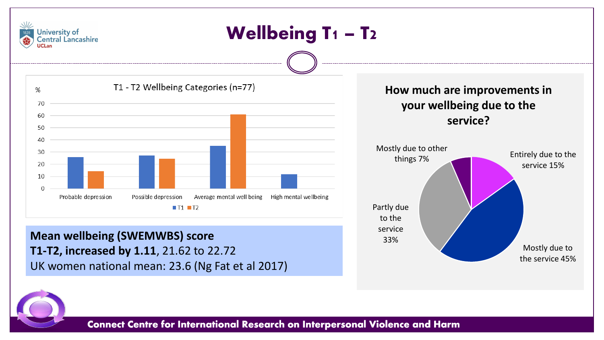

**T1-T2, increased by 1.11**, 21.62 to 22.72 UK women national mean: 23.6 (Ng Fat et al 2017)

Mostly due to the service 45%

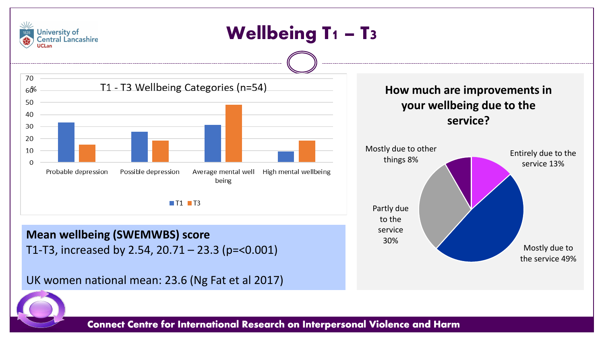

the service 49%

T1-T3, increased by 2.54, 20.71 – 23.3 (p=<0.001)

UK women national mean: 23.6 (Ng Fat et al 2017)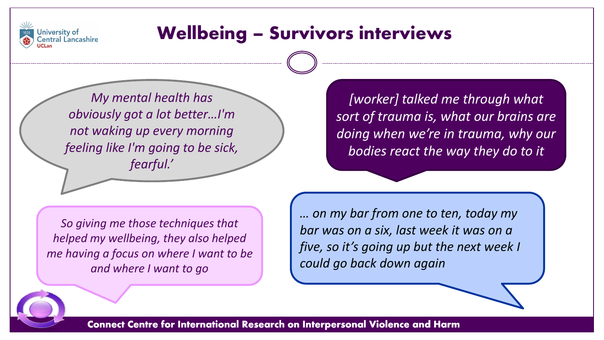

### Wellbeing – Survivors interviews

*My mental health has obviously got a lot better…I'm not waking up every morning feeling like I'm going to be sick, fearful.'*

*[worker] talked me through what sort of trauma is, what our brains are doing when we're in trauma, why our bodies react the way they do to it*

*So giving me those techniques that helped my wellbeing, they also helped me having a focus on where I want to be and where I want to go*

*… on my bar from one to ten, today my bar was on a six, last week it was on a five, so it's going up but the next week I could go back down again*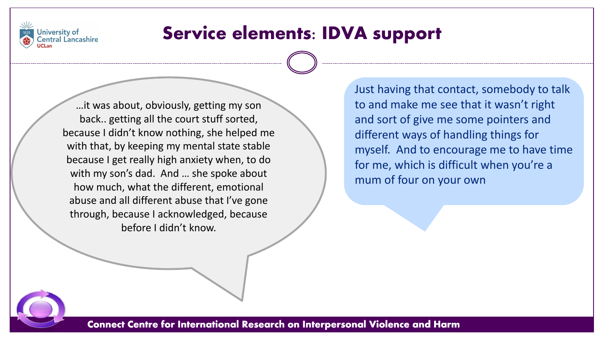

### Service elements: IDVA support

…it was about, obviously, getting my son back.. getting all the court stuff sorted, because I didn't know nothing, she helped me with that, by keeping my mental state stable because I get really high anxiety when, to do with my son's dad. And … she spoke about how much, what the different, emotional abuse and all different abuse that I've gone through, because I acknowledged, because before I didn't know.

Just having that contact, somebody to talk to and make me see that it wasn't right and sort of give me some pointers and different ways of handling things for myself. And to encourage me to have time for me, which is difficult when you're a mum of four on your own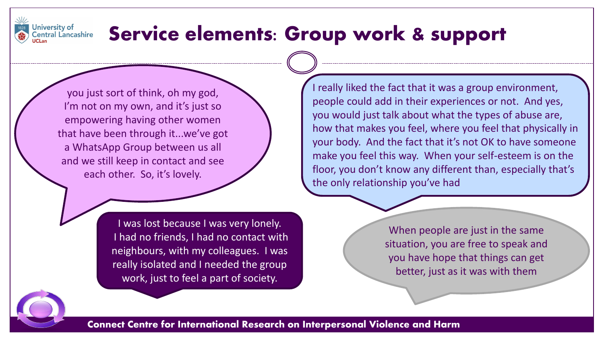

## Service elements: Group work & support

you just sort of think, oh my god, I'm not on my own, and it's just so empowering having other women that have been through it...we've got a WhatsApp Group between us all and we still keep in contact and see each other. So, it's lovely.

> I was lost because I was very lonely. I had no friends, I had no contact with neighbours, with my colleagues. I was really isolated and I needed the group work, just to feel a part of society.

I really liked the fact that it was a group environment, people could add in their experiences or not. And yes, you would just talk about what the types of abuse are, how that makes you feel, where you feel that physically in your body. And the fact that it's not OK to have someone make you feel this way. When your self-esteem is on the floor, you don't know any different than, especially that's the only relationship you've had

> When people are just in the same situation, you are free to speak and you have hope that things can get better, just as it was with them

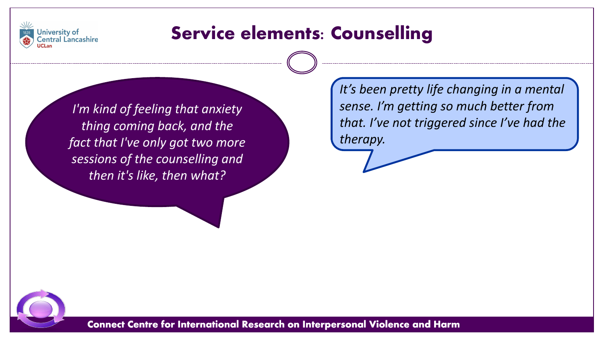

### Service elements: Counselling

*I'm kind of feeling that anxiety thing coming back, and the fact that I've only got two more sessions of the counselling and then it's like, then what?* 

*It's been pretty life changing in a mental sense. I'm getting so much better from that. I've not triggered since I've had the therapy.*

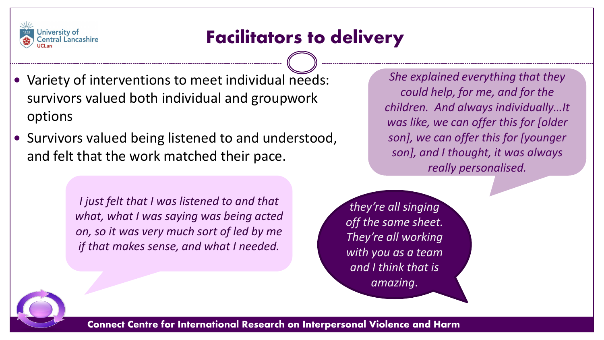

### Facilitators to delivery

- Variety of interventions to meet individual needs: survivors valued both individual and groupwork options
- Survivors valued being listened to and understood, and felt that the work matched their pace.

*I just felt that I was listened to and that what, what I was saying was being acted on, so it was very much sort of led by me if that makes sense, and what I needed.* 

*She explained everything that they could help, for me, and for the children. And always individually…It was like, we can offer this for [older son], we can offer this for [younger son], and I thought, it was always really personalised.*

*they're all singing off the same sheet. They're all working with you as a team and I think that is amazing*.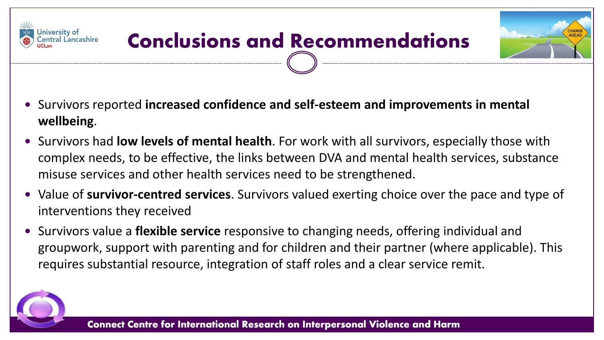

- Survivors reported **increased confidence and self-esteem and improvements in mental wellbeing**.
- Survivors had **low levels of mental health**. For work with all survivors, especially those with complex needs, to be effective, the links between DVA and mental health services, substance misuse services and other health services need to be strengthened.
- Value of **survivor-centred services**. Survivors valued exerting choice over the pace and type of interventions they received
- Survivors value a **flexible service** responsive to changing needs, offering individual and groupwork, support with parenting and for children and their partner (where applicable). This requires substantial resource, integration of staff roles and a clear service remit.



**University of**